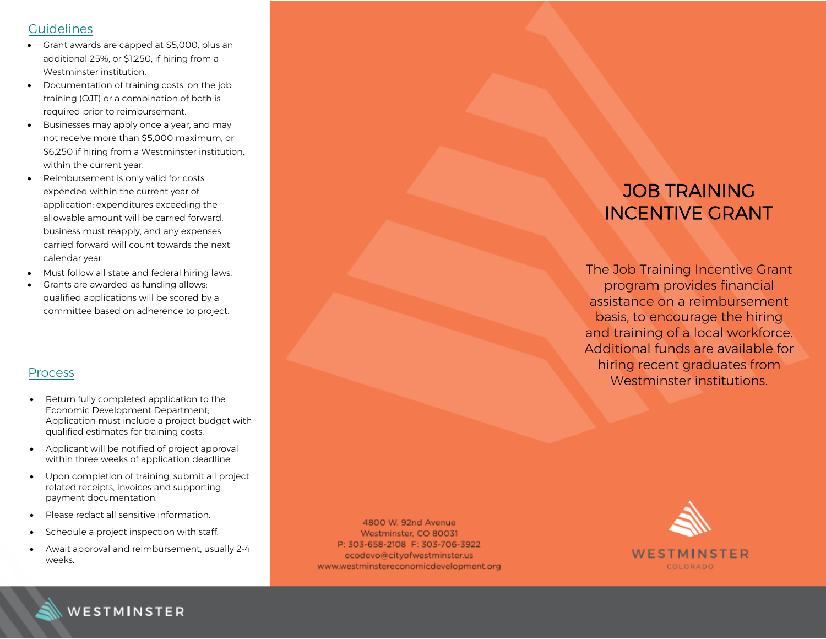### **Guidelines**

- Grant awards are capped at \$5,000, plus an additional 25%, or \$1,250, if hiring from a Westminster institution.
- Documentation of training costs, on the job training (OJT) or a combination of both is required prior to reimbursement.
- Businesses may apply once a year, and may not receive more than \$5,000 maximum, or \$6,250 if hiring from a Westminster institution, within the current year.
- Reimbursement is only valid for costs expended within the current year of application; expenditures exceeding the allowable amount will be carried forward, business must reapply, and any expenses carried forward will count towards the next calendar year.
- Must follow all state and federal hiring laws.
- Grants are awarded as funding allows; qualified applications will be scored by a committee based on adherence to project. criteria and overall positive impact to the

### Process

- Return fully completed application to the Economic Development Department ; Application must include a project budget with qualified estimates for training costs.
- Applicant will be notified of project approval within three weeks of application deadline.
- Upon completion of training, submit all project related receipts, invoices and supporting payment documentation.
- Please redact all sensitive information.
- Schedule a project inspection with staff.
- Await approval and reimbursement, usually 2-4 weeks.

4800 W. 92nd Avenue Westminster, CO 80031 P: 303-658-2108 F: 303-706-3922 ecodevo@cityofwestminster.us www.westminstereconomicdevelopment.org

## JOB TRAINING INCENTIVE GRANT

The Job Training Incentive Grant program provides financial assistance on a reimbursement basis, to encourage the hiring and training of a local workforce. Additional funds are available for hiring recent graduates from Westminster institution s.